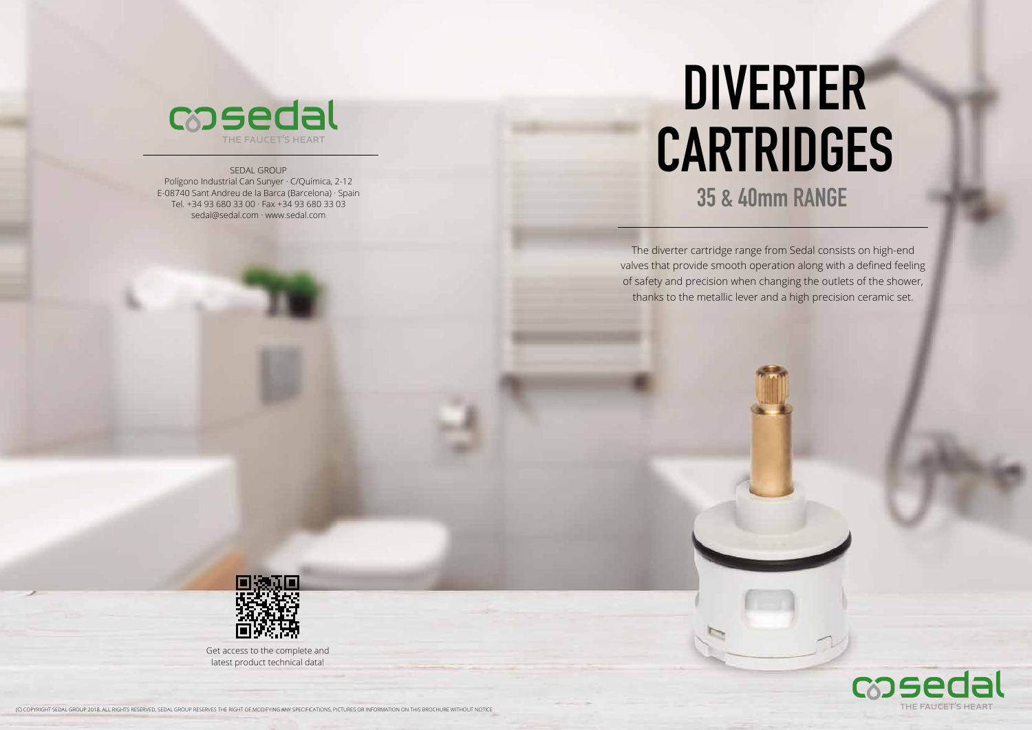The diverter cartridge range from Sedal consists on high-end valves that provide smooth operation along with a defined feeling of safety and precision when changing the outlets of the shower, thanks to the metallic lever and a high precision ceramic set.



# **DIVERTER CARTRIDGES 35 & 40mm RANGE**

(C) COPYRIGHT SEDAL GROUP 2018. ALL RIGHTS RESERVED, SEDAL GROUP RESERVES THE RIGHT OF MODIFYING ANY SPECIFICATIONS, PICTURES OR INFORMATION ON THIS BROCHURE WITHOUT NOTICE



#### SEDAL GROUP

Polígono Industrial Can Sunyer · C/Química, 2-12 E-08740 Sant Andreu de la Barca (Barcelona) · Spain Tel. +34 93 680 33 00 · Fax +34 93 680 33 03 sedal@sedal.com · www.sedal.com



Get access to the complete and latest product technical data!